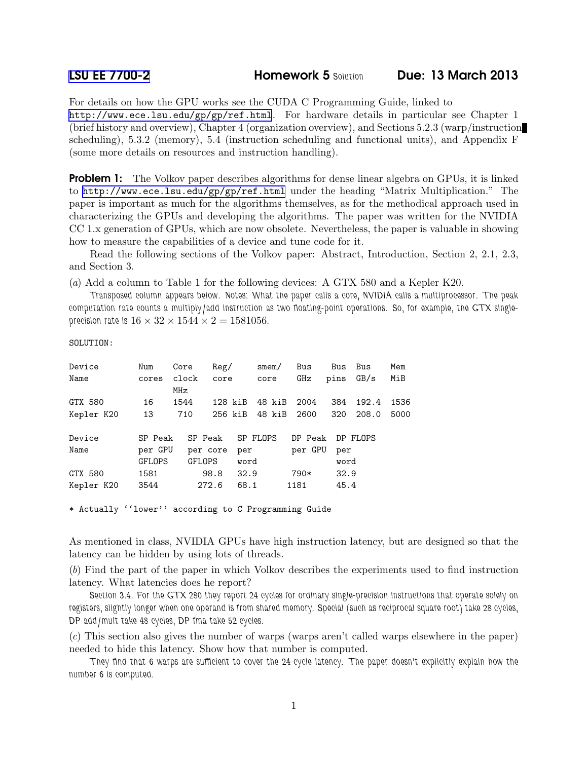For details on how the GPU works see the CUDA C Programming Guide, linked to <http://www.ece.lsu.edu/gp/gp/ref.html>. For hardware details in particular see Chapter 1 (brief history and overview), Chapter 4 (organization overview), and Sections 5.2.3 (warp/instruction scheduling), 5.3.2 (memory), 5.4 (instruction scheduling and functional units), and Appendix F (some more details on resources and instruction handling).

**Problem 1:** The Volkov paper describes algorithms for dense linear algebra on GPUs, it is linked to <http://www.ece.lsu.edu/gp/gp/ref.html> under the heading "Matrix Multiplication." The paper is important as much for the algorithms themselves, as for the methodical approach used in characterizing the GPUs and developing the algorithms. The paper was written for the NVIDIA CC 1.x generation of GPUs, which are now obsolete. Nevertheless, the paper is valuable in showing how to measure the capabilities of a device and tune code for it.

Read the following sections of the Volkov paper: Abstract, Introduction, Section 2, 2.1, 2.3, and Section 3.

(a) Add a column to Table 1 for the following devices: A GTX 580 and a Kepler K20.

*Transposed column appears below. Notes: What the paper calls a core, NVIDIA calls a multiprocessor. The peak computation rate counts a multiply/add instruction as two floating-point operations. So, for example, the GTX singleprecision rate is*  $16 \times 32 \times 1544 \times 2 = 1581056$ .

SOLUTION:

| Device     | Num     | Core         | Reg/    |      | smem/    | Bus     | Bus  | Bus      | Mem  |
|------------|---------|--------------|---------|------|----------|---------|------|----------|------|
| Name       | cores   | clock<br>MHz | core    |      | core     | GHz     | pins | GB/s     | MiB  |
| GTX 580    | 16      | 1544         | 128 kiB |      | 48 kiB   | 2004    | 384  | 192.4    | 1536 |
| Kepler K20 | 13      | 710          | 256 kiB |      | 48 kiB   | 2600    | 320  | 208.0    | 5000 |
| Device     | SP Peak | SP Peak      |         |      | SP FLOPS | DP Peak |      | DP FLOPS |      |
| Name       | per GPU | per core     |         | per  |          | per GPU | per  |          |      |
|            | GFLOPS  | GFLOPS       |         | word |          |         | word |          |      |
| GTX 580    | 1581    |              | 98.8    | 32.9 |          | 790*    | 32.9 |          |      |
| Kepler K20 | 3544    | 272.6        |         | 68.1 |          | 1181    | 45.4 |          |      |

\* Actually ''lower'' according to C Programming Guide

As mentioned in class, NVIDIA GPUs have high instruction latency, but are designed so that the latency can be hidden by using lots of threads.

(b) Find the part of the paper in which Volkov describes the experiments used to find instruction latency. What latencies does he report?

*Section 3.4. For the GTX 280 they report 24 cycles for ordinary single-precision instructions that operate solely on registers, slightly longer when one operand is from shared memory. Special (such as reciprocal square root) take 28 cycles, DP add/mult take 48 cycles, DP fma take 52 cycles.*

(c) This section also gives the number of warps (warps aren't called warps elsewhere in the paper) needed to hide this latency. Show how that number is computed.

*They find that 6 warps are sufficient to cover the 24-cycle latency. The paper doesn't explicitly explain how the number 6 is computed.*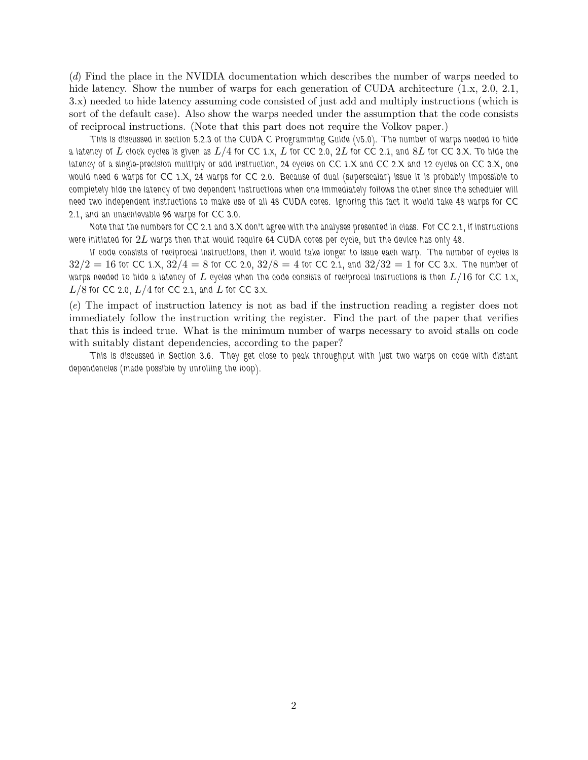(d) Find the place in the NVIDIA documentation which describes the number of warps needed to hide latency. Show the number of warps for each generation of CUDA architecture  $(1.x, 2.0, 2.1, ...)$ 3.x) needed to hide latency assuming code consisted of just add and multiply instructions (which is sort of the default case). Also show the warps needed under the assumption that the code consists of reciprocal instructions. (Note that this part does not require the Volkov paper.)

*This is discussed in section 5.2.3 of the CUDA C Programming Guide (v5.0). The number of warps needed to hide a latency of* L *clock cycles is given as* L/4 *for CC 1.x,* L *for CC 2.0,* 2L *for CC 2.1, and* 8L *for CC 3.X. To hide the latency of a single-precision multiply or add instruction, 24 cycles on CC 1.X and CC 2.X and 12 cycles on CC 3.X, one would need 6 warps for CC 1.X, 24 warps for CC 2.0. Because of dual (superscalar) issue it is probably impossible to completely hide the latency of two dependent instructions when one immediately follows the other since the scheduler will need two independent instructions to make use of all 48 CUDA cores. Ignoring this fact it would take 48 warps for CC 2.1, and an unachievable 96 warps for CC 3.0.*

*Note that the numbers for CC 2.1 and 3.X don't agree with the analyses presented in class. For CC 2.1, if instructions were initiated for* 2L *warps then that would require 64 CUDA cores per cycle, but the device has only 48.*

*If code consists of reciprocal instructions, then it would take longer to issue each warp. The number of cycles is*  $32/2 = 16$  for CC 1.X,  $32/4 = 8$  for CC 2.0,  $32/8 = 4$  for CC 2.1, and  $32/32 = 1$  for CC 3.x. The number of *warps needed to hide a latency of* L *cycles when the code consists of reciprocal instructions is then* L/16 *for CC 1.x,*  $L/8$  for CC 2.0,  $L/4$  for CC 2.1, and L for CC 3.x.

(e) The impact of instruction latency is not as bad if the instruction reading a register does not immediately follow the instruction writing the register. Find the part of the paper that verifies that this is indeed true. What is the minimum number of warps necessary to avoid stalls on code with suitably distant dependencies, according to the paper?

*This is discussed in Section 3.6. They get close to peak throughput with just two warps on code with distant dependencies (made possible by unrolling the loop).*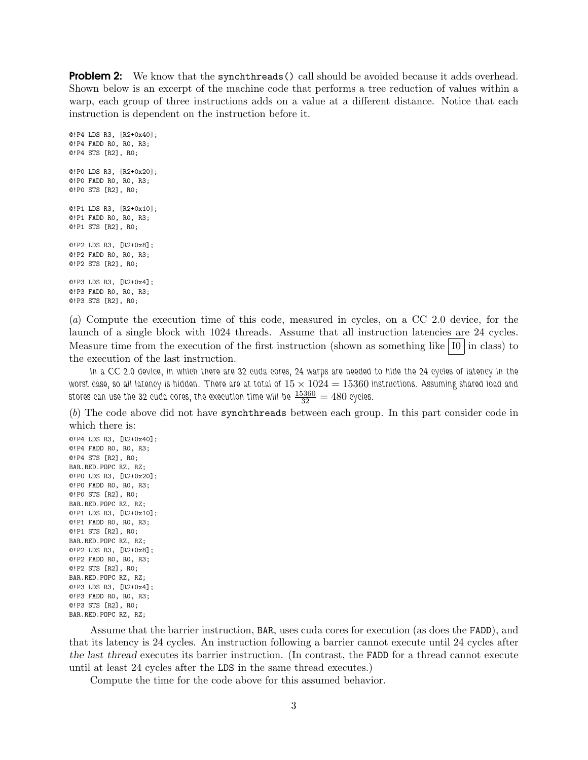**Problem 2:** We know that the synchthreads () call should be avoided because it adds overhead. Shown below is an excerpt of the machine code that performs a tree reduction of values within a warp, each group of three instructions adds on a value at a different distance. Notice that each instruction is dependent on the instruction before it.

```
@!P4 LDS R3, [R2+0x40];
@!P4 FADD R0, R0, R3;
@!P4 STS [R2], R0;
@!P0 LDS R3, [R2+0x20];
@!P0 FADD R0, R0, R3;
@!P0 STS [R2], R0;
@!P1 LDS R3, [R2+0x10];
@!P1 FADD R0, R0, R3;
@!P1 STS [R2], R0;
@!P2 LDS R3, [R2+0x8];
@!P2 FADD R0, R0, R3;
@!P2 STS [R2], R0;
@!P3 LDS R3, [R2+0x4];
@!P3 FADD R0, R0, R3;
@!P3 STS [R2], R0;
```
(a) Compute the execution time of this code, measured in cycles, on a CC 2.0 device, for the launch of a single block with 1024 threads. Assume that all instruction latencies are 24 cycles. Measure time from the execution of the first instruction (shown as something like  $|10|$  in class) to the execution of the last instruction.

*In a CC 2.0 device, in which there are 32 cuda cores, 24 warps are needed to hide the 24 cycles of latency in the w*orst case, so all latency is hidden. There are at total of  $15 \times 1024 = 15360$  instructions. Assuming shared load and stores can use the 32 cuda cores, the execution time will be  $\frac{15360}{32} = 480$  cycles.

(b) The code above did not have synchthreads between each group. In this part consider code in which there is:

@!P4 LDS R3, [R2+0x40]; @!P4 FADD R0, R0, R3; @!P4 STS [R2], R0; BAR.RED.POPC RZ, RZ; @!P0 LDS R3, [R2+0x20]; @!P0 FADD R0, R0, R3; @!P0 STS [R2], R0; BAR.RED.POPC RZ, RZ; @!P1 LDS R3, [R2+0x10]; @!P1 FADD R0, R0, R3; @!P1 STS [R2], R0; BAR.RED.POPC RZ, RZ; @!P2 LDS R3, [R2+0x8]; @!P2 FADD R0, R0, R3; @!P2 STS [R2], R0; BAR.RED.POPC RZ, RZ; @!P3 LDS R3, [R2+0x4]; @!P3 FADD R0, R0, R3; @!P3 STS [R2], R0; BAR.RED.POPC RZ, RZ;

Assume that the barrier instruction, BAR, uses cuda cores for execution (as does the FADD), and that its latency is 24 cycles. An instruction following a barrier cannot execute until 24 cycles after the last thread executes its barrier instruction. (In contrast, the FADD for a thread cannot execute until at least 24 cycles after the LDS in the same thread executes.)

Compute the time for the code above for this assumed behavior.